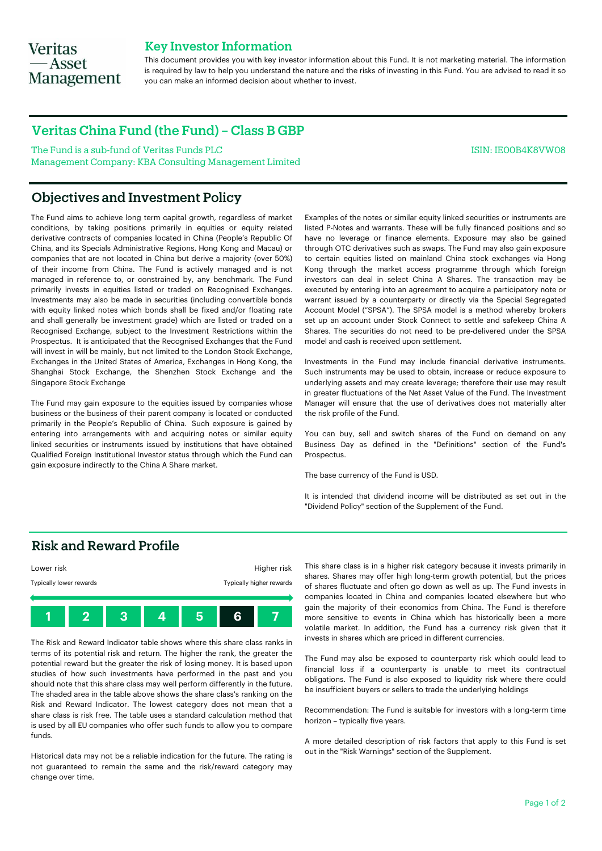# **Veritas** — Asset **Management**

### Key Investor Information

This document provides you with key investor information about this Fund. It is not marketing material. The information is required by law to help you understand the nature and the risks of investing in this Fund. You are advised to read it so you can make an informed decision about whether to invest.

## Veritas China Fund (the Fund) – Class B GBP

The Fund is a sub-fund of Veritas Funds PLC Management Company: KBA Consulting Management Limited ISIN: IE00B4K8VW08

# Objectives and Investment Policy

The Fund aims to achieve long term capital growth, regardless of market conditions, by taking positions primarily in equities or equity related derivative contracts of companies located in China (People's Republic Of China, and its Specials Administrative Regions, Hong Kong and Macau) or companies that are not located in China but derive a majority (over 50%) of their income from China. The Fund is actively managed and is not managed in reference to, or constrained by, any benchmark. The Fund primarily invests in equities listed or traded on Recognised Exchanges. Investments may also be made in securities (including convertible bonds with equity linked notes which bonds shall be fixed and/or floating rate and shall generally be investment grade) which are listed or traded on a Recognised Exchange, subject to the Investment Restrictions within the Prospectus. It is anticipated that the Recognised Exchanges that the Fund will invest in will be mainly, but not limited to the London Stock Exchange, Exchanges in the United States of America, Exchanges in Hong Kong, the Shanghai Stock Exchange, the Shenzhen Stock Exchange and the Singapore Stock Exchange

The Fund may gain exposure to the equities issued by companies whose business or the business of their parent company is located or conducted primarily in the People's Republic of China. Such exposure is gained by entering into arrangements with and acquiring notes or similar equity linked securities or instruments issued by institutions that have obtained Qualified Foreign Institutional Investor status through which the Fund can gain exposure indirectly to the China A Share market.

Examples of the notes or similar equity linked securities or instruments are listed P-Notes and warrants. These will be fully financed positions and so have no leverage or finance elements. Exposure may also be gained through OTC derivatives such as swaps. The Fund may also gain exposure to certain equities listed on mainland China stock exchanges via Hong Kong through the market access programme through which foreign investors can deal in select China A Shares. The transaction may be executed by entering into an agreement to acquire a participatory note or warrant issued by a counterparty or directly via the Special Segregated Account Model ("SPSA"). The SPSA model is a method whereby brokers set up an account under Stock Connect to settle and safekeep China A Shares. The securities do not need to be pre-delivered under the SPSA model and cash is received upon settlement.

Investments in the Fund may include financial derivative instruments. Such instruments may be used to obtain, increase or reduce exposure to underlying assets and may create leverage; therefore their use may result in greater fluctuations of the Net Asset Value of the Fund. The Investment Manager will ensure that the use of derivatives does not materially alter the risk profile of the Fund.

You can buy, sell and switch shares of the Fund on demand on any Business Day as defined in the "Definitions" section of the Fund's Prospectus.

The base currency of the Fund is USD.

It is intended that dividend income will be distributed as set out in the "Dividend Policy" section of the Supplement of the Fund.

# Risk and Reward Profile



The Risk and Reward Indicator table shows where this share class ranks in terms of its potential risk and return. The higher the rank, the greater the potential reward but the greater the risk of losing money. It is based upon studies of how such investments have performed in the past and you should note that this share class may well perform differently in the future. The shaded area in the table above shows the share class's ranking on the Risk and Reward Indicator. The lowest category does not mean that a share class is risk free. The table uses a standard calculation method that is used by all EU companies who offer such funds to allow you to compare funds.

Historical data may not be a reliable indication for the future. The rating is not guaranteed to remain the same and the risk/reward category may change over time.

This share class is in a higher risk category because it invests primarily in shares. Shares may offer high long-term growth potential, but the prices of shares fluctuate and often go down as well as up. The Fund invests in companies located in China and companies located elsewhere but who gain the majority of their economics from China. The Fund is therefore more sensitive to events in China which has historically been a more volatile market. In addition, the Fund has a currency risk given that it invests in shares which are priced in different currencies.

The Fund may also be exposed to counterparty risk which could lead to financial loss if a counterparty is unable to meet its contractual obligations. The Fund is also exposed to liquidity risk where there could be insufficient buyers or sellers to trade the underlying holdings

Recommendation: The Fund is suitable for investors with a long-term time horizon – typically five years.

A more detailed description of risk factors that apply to this Fund is set out in the "Risk Warnings" section of the Supplement.